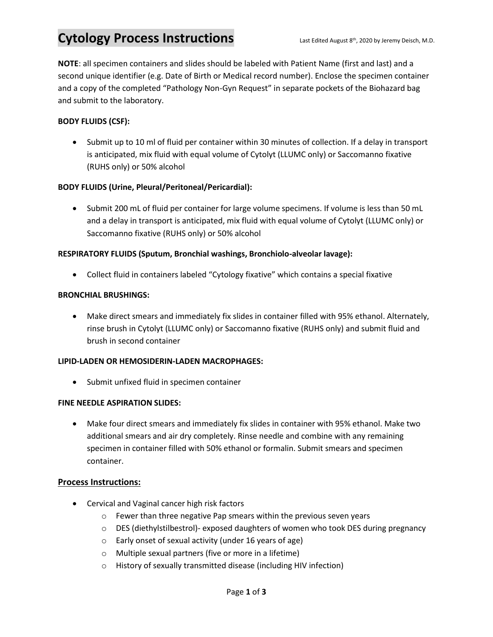# Cytology Process Instructions Last Edited August 8<sup>th</sup>, 2020 by Jeremy Deisch, M.D.

**NOTE**: all specimen containers and slides should be labeled with Patient Name (first and last) and a second unique identifier (e.g. Date of Birth or Medical record number). Enclose the specimen container and a copy of the completed "Pathology Non-Gyn Request" in separate pockets of the Biohazard bag and submit to the laboratory.

### **BODY FLUIDS (CSF):**

• Submit up to 10 ml of fluid per container within 30 minutes of collection. If a delay in transport is anticipated, mix fluid with equal volume of Cytolyt (LLUMC only) or Saccomanno fixative (RUHS only) or 50% alcohol

#### **BODY FLUIDS (Urine, Pleural/Peritoneal/Pericardial):**

• Submit 200 mL of fluid per container for large volume specimens. If volume is less than 50 mL and a delay in transport is anticipated, mix fluid with equal volume of Cytolyt (LLUMC only) or Saccomanno fixative (RUHS only) or 50% alcohol

#### **RESPIRATORY FLUIDS (Sputum, Bronchial washings, Bronchiolo-alveolar lavage):**

• Collect fluid in containers labeled "Cytology fixative" which contains a special fixative

#### **BRONCHIAL BRUSHINGS:**

• Make direct smears and immediately fix slides in container filled with 95% ethanol. Alternately, rinse brush in Cytolyt (LLUMC only) or Saccomanno fixative (RUHS only) and submit fluid and brush in second container

#### **LIPID-LADEN OR HEMOSIDERIN-LADEN MACROPHAGES:**

• Submit unfixed fluid in specimen container

#### **FINE NEEDLE ASPIRATION SLIDES:**

• Make four direct smears and immediately fix slides in container with 95% ethanol. Make two additional smears and air dry completely. Rinse needle and combine with any remaining specimen in container filled with 50% ethanol or formalin. Submit smears and specimen container.

#### **Process Instructions:**

- Cervical and Vaginal cancer high risk factors
	- o Fewer than three negative Pap smears within the previous seven years
	- $\circ$  DES (diethylstilbestrol)- exposed daughters of women who took DES during pregnancy
	- o Early onset of sexual activity (under 16 years of age)
	- o Multiple sexual partners (five or more in a lifetime)
	- o History of sexually transmitted disease (including HIV infection)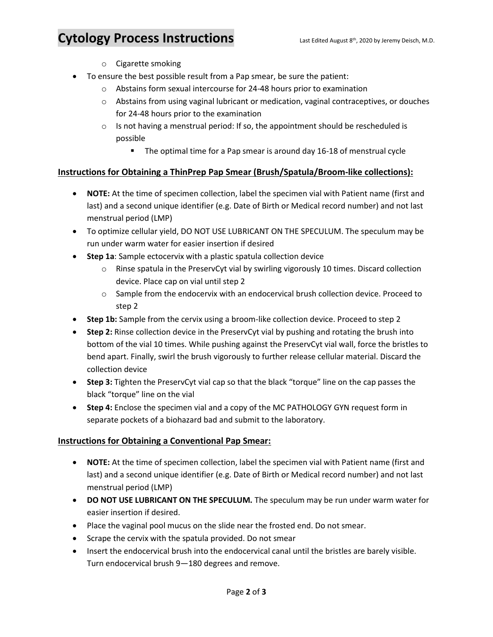### Cytology Process Instructions Last Edited August 8<sup>th</sup>, 2020 by Jeremy Deisch, M.D.

- o Cigarette smoking
- To ensure the best possible result from a Pap smear, be sure the patient:
	- o Abstains form sexual intercourse for 24-48 hours prior to examination
	- o Abstains from using vaginal lubricant or medication, vaginal contraceptives, or douches for 24-48 hours prior to the examination
	- $\circ$  Is not having a menstrual period: If so, the appointment should be rescheduled is possible
		- The optimal time for a Pap smear is around day 16-18 of menstrual cycle

#### **Instructions for Obtaining a ThinPrep Pap Smear (Brush/Spatula/Broom-like collections):**

- **NOTE:** At the time of specimen collection, label the specimen vial with Patient name (first and last) and a second unique identifier (e.g. Date of Birth or Medical record number) and not last menstrual period (LMP)
- To optimize cellular yield, DO NOT USE LUBRICANT ON THE SPECULUM. The speculum may be run under warm water for easier insertion if desired
- **Step 1a**: Sample ectocervix with a plastic spatula collection device
	- $\circ$  Rinse spatula in the PreservCyt vial by swirling vigorously 10 times. Discard collection device. Place cap on vial until step 2
	- $\circ$  Sample from the endocervix with an endocervical brush collection device. Proceed to step 2
- **Step 1b:** Sample from the cervix using a broom-like collection device. Proceed to step 2
- **Step 2:** Rinse collection device in the PreservCyt vial by pushing and rotating the brush into bottom of the vial 10 times. While pushing against the PreservCyt vial wall, force the bristles to bend apart. Finally, swirl the brush vigorously to further release cellular material. Discard the collection device
- **Step 3:** Tighten the PreservCyt vial cap so that the black "torque" line on the cap passes the black "torque" line on the vial
- **Step 4:** Enclose the specimen vial and a copy of the MC PATHOLOGY GYN request form in separate pockets of a biohazard bad and submit to the laboratory.

#### **Instructions for Obtaining a Conventional Pap Smear:**

- **NOTE:** At the time of specimen collection, label the specimen vial with Patient name (first and last) and a second unique identifier (e.g. Date of Birth or Medical record number) and not last menstrual period (LMP)
- **DO NOT USE LUBRICANT ON THE SPECULUM.** The speculum may be run under warm water for easier insertion if desired.
- Place the vaginal pool mucus on the slide near the frosted end. Do not smear.
- Scrape the cervix with the spatula provided. Do not smear
- Insert the endocervical brush into the endocervical canal until the bristles are barely visible. Turn endocervical brush 9—180 degrees and remove.